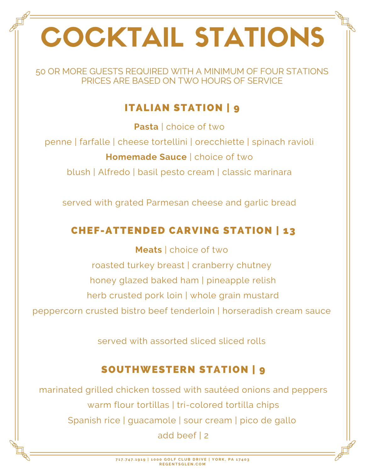# COCKTAIL STATIONS

50 OR MORE GUESTS REQUIRED WITH A MINIMUM OF FOUR STATIONS PRICES ARE BASED ON TWO HOURS OF SERVICE

# ITALIAN STATION | 9

**Pasta** | choice of two

penne | farfalle | cheese tortellini | orecchiette | spinach ravioli

**Homemade Sauce** | choice of two

blush | Alfredo | basil pesto cream | classic marinara

served with grated Parmesan cheese and garlic bread

# CHEF-ATTENDED CARVING STATION | 13

**Meats** | choice of two roasted turkey breast | cranberry chutney honey glazed baked ham | pineapple relish herb crusted pork loin | whole grain mustard peppercorn crusted bistro beef tenderloin | horseradish cream sauce

served with assorted sliced sliced rolls

# SOUTHWESTERN STATION | 9

marinated grilled chicken tossed with sautéed onions and peppers warm flour tortillas | tri-colored tortilla chips Spanish rice | guacamole | sour cream | pico de gallo add beef | 2

> 717.747.1919 | 1000 GOLF CLUB DRIVE | YORK, PA 17403 **R E G E N T S G L E N . C O M**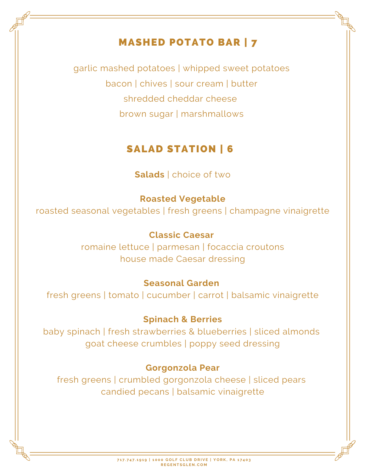# MASHED POTATO BAR | 7

garlic mashed potatoes | whipped sweet potatoes bacon | chives | sour cream | butter shredded cheddar cheese brown sugar | marshmallows

## SALAD STATION | 6

#### **Salads** | choice of two

#### **Roasted Vegetable**

roasted seasonal vegetables | fresh greens | champagne vinaigrette

#### **Classic Caesar**

romaine lettuce | parmesan | focaccia croutons house made Caesar dressing

#### **Seasonal Garden**

fresh greens | tomato | cucumber | carrot | balsamic vinaigrette

#### **Spinach & Berries**

baby spinach | fresh strawberries & blueberries | sliced almonds goat cheese crumbles | poppy seed dressing

#### **Gorgonzola Pear**

fresh greens | crumbled gorgonzola cheese | sliced pears candied pecans | balsamic vinaigrette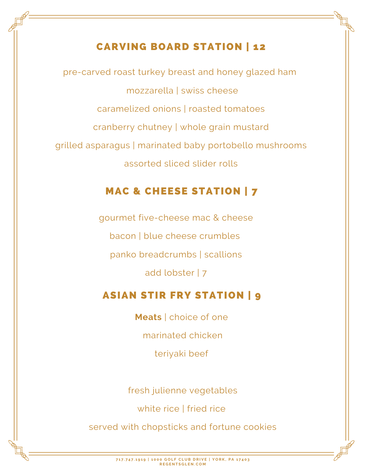## CARVING BOARD STATION | 12

pre-carved roast turkey breast and honey glazed ham mozzarella | swiss cheese caramelized onions | roasted tomatoes cranberry chutney | whole grain mustard grilled asparagus | marinated baby portobello mushrooms assorted sliced slider rolls

# MAC & CHEESE STATION | 7

gourmet five-cheese mac & cheese bacon | blue cheese crumbles panko breadcrumbs | scallions add lobster | 7

## ASIAN STIR FRY STATION | 9

**Meats** | choice of one marinated chicken teriyaki beef

fresh julienne vegetables

white rice I fried rice

served with chopsticks and fortune cookies

717.747.1919 | 1000 GOLF CLUB DRIVE | YORK, PA 17403 **R E G E N T S G L E N . C O M**